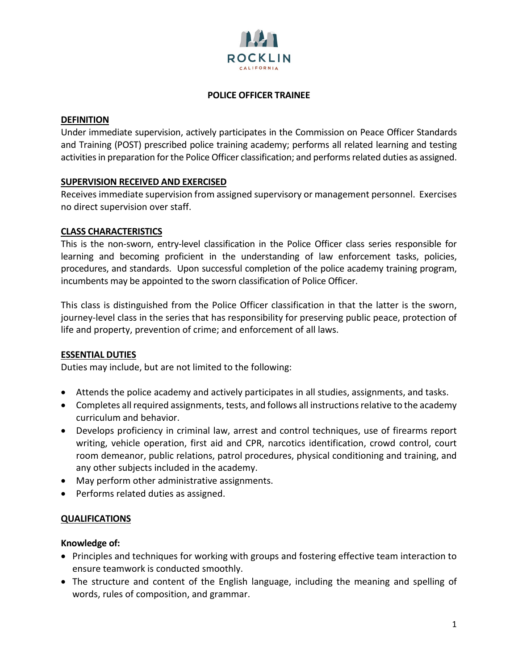

### **POLICE OFFICER TRAINEE**

#### **DEFINITION**

Under immediate supervision, actively participates in the Commission on Peace Officer Standards and Training (POST) prescribed police training academy; performs all related learning and testing activities in preparation for the Police Officer classification; and performs related duties as assigned.

## **SUPERVISION RECEIVED AND EXERCISED**

Receives immediate supervision from assigned supervisory or management personnel. Exercises no direct supervision over staff.

### **CLASS CHARACTERISTICS**

This is the non-sworn, entry-level classification in the Police Officer class series responsible for learning and becoming proficient in the understanding of law enforcement tasks, policies, procedures, and standards. Upon successful completion of the police academy training program, incumbents may be appointed to the sworn classification of Police Officer.

This class is distinguished from the Police Officer classification in that the latter is the sworn, journey-level class in the series that has responsibility for preserving public peace, protection of life and property, prevention of crime; and enforcement of all laws.

#### **ESSENTIAL DUTIES**

Duties may include, but are not limited to the following:

- Attends the police academy and actively participates in all studies, assignments, and tasks.
- Completes all required assignments, tests, and follows all instructions relative to the academy curriculum and behavior.
- Develops proficiency in criminal law, arrest and control techniques, use of firearms report writing, vehicle operation, first aid and CPR, narcotics identification, crowd control, court room demeanor, public relations, patrol procedures, physical conditioning and training, and any other subjects included in the academy.
- May perform other administrative assignments.
- Performs related duties as assigned.

## **QUALIFICATIONS**

#### **Knowledge of:**

- Principles and techniques for working with groups and fostering effective team interaction to ensure teamwork is conducted smoothly.
- The structure and content of the English language, including the meaning and spelling of words, rules of composition, and grammar.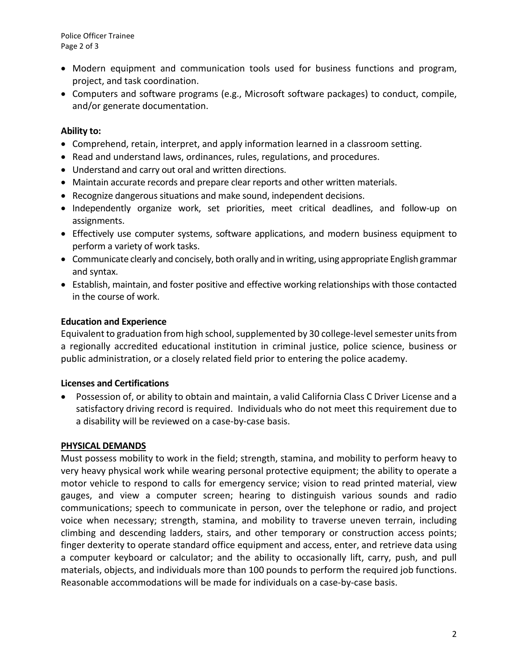- Modern equipment and communication tools used for business functions and program, project, and task coordination.
- Computers and software programs (e.g., Microsoft software packages) to conduct, compile, and/or generate documentation.

# **Ability to:**

- Comprehend, retain, interpret, and apply information learned in a classroom setting.
- Read and understand laws, ordinances, rules, regulations, and procedures.
- Understand and carry out oral and written directions.
- Maintain accurate records and prepare clear reports and other written materials.
- Recognize dangerous situations and make sound, independent decisions.
- Independently organize work, set priorities, meet critical deadlines, and follow-up on assignments.
- Effectively use computer systems, software applications, and modern business equipment to perform a variety of work tasks.
- Communicate clearly and concisely, both orally and in writing, using appropriate English grammar and syntax.
- Establish, maintain, and foster positive and effective working relationships with those contacted in the course of work.

# **Education and Experience**

Equivalent to graduation from high school, supplemented by 30 college-level semester units from a regionally accredited educational institution in criminal justice, police science, business or public administration, or a closely related field prior to entering the police academy.

## **Licenses and Certifications**

• Possession of, or ability to obtain and maintain, a valid California Class C Driver License and a satisfactory driving record is required. Individuals who do not meet this requirement due to a disability will be reviewed on a case-by-case basis.

## **PHYSICAL DEMANDS**

Must possess mobility to work in the field; strength, stamina, and mobility to perform heavy to very heavy physical work while wearing personal protective equipment; the ability to operate a motor vehicle to respond to calls for emergency service; vision to read printed material, view gauges, and view a computer screen; hearing to distinguish various sounds and radio communications; speech to communicate in person, over the telephone or radio, and project voice when necessary; strength, stamina, and mobility to traverse uneven terrain, including climbing and descending ladders, stairs, and other temporary or construction access points; finger dexterity to operate standard office equipment and access, enter, and retrieve data using a computer keyboard or calculator; and the ability to occasionally lift, carry, push, and pull materials, objects, and individuals more than 100 pounds to perform the required job functions. Reasonable accommodations will be made for individuals on a case-by-case basis.